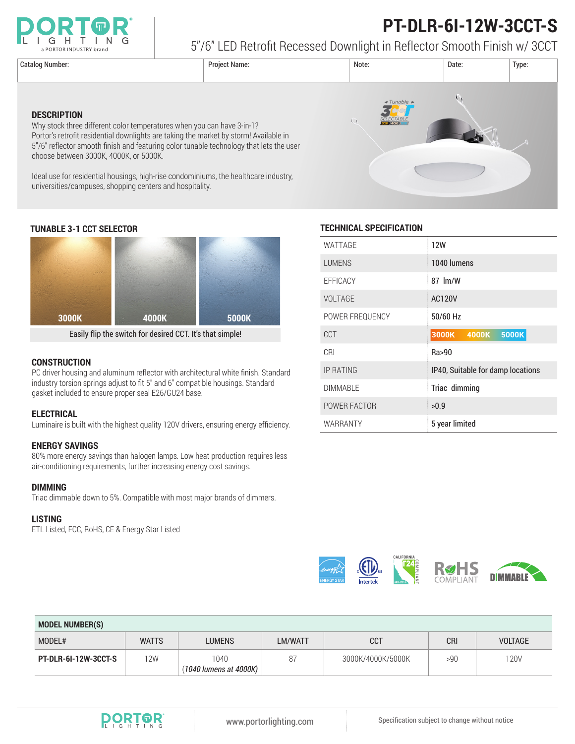

# **PT-DLR-6I-12W-3CCT-S**

5"/6" LED Retrofit Recessed Downlight in Reflector Smooth Finish w/ 3CCT

**DESCRIPTION**



## **TUNABLE 3-1 CCT SELECTOR TECHNICAL SPECIFICATION**

choose between 3000K, 4000K, or 5000K.

universities/campuses, shopping centers and hospitality.



Why stock three different color temperatures when you can have 3-in-1?

Portor's retrofit residential downlights are taking the market by storm! Available in 5"/6" reflector smooth finish and featuring color tunable technology that lets the user

Ideal use for residential housings, high-rise condominiums, the healthcare industry,

Easily flip the switch for desired CCT. It's that simple!

### **CONSTRUCTION**

PC driver housing and aluminum reflector with architectural white finish. Standard industry torsion springs adjust to fit 5" and 6" compatible housings. Standard gasket included to ensure proper seal E26/GU24 base.

#### **ELECTRICAL**

Luminaire is built with the highest quality 120V drivers, ensuring energy efficiency.

### **ENERGY SAVINGS**

80% more energy savings than halogen lamps. Low heat production requires less air-conditioning requirements, further increasing energy cost savings.

#### **DIMMING**

Triac dimmable down to 5%. Compatible with most major brands of dimmers.

#### **LISTING**

ETL Listed, FCC, RoHS, CE & Energy Star Listed

| WATTAGE          | <b>12W</b>                        |  |
|------------------|-----------------------------------|--|
| <b>LUMENS</b>    | 1040 lumens                       |  |
| <b>EFFICACY</b>  | 87 lm/W                           |  |
| <b>VOLTAGE</b>   | <b>AC120V</b>                     |  |
| POWER FREQUENCY  | 50/60 Hz                          |  |
| <b>CCT</b>       | 3000K<br><b>5000K</b><br>4000K    |  |
| CRI              | Ra>90                             |  |
| <b>IP RATING</b> | IP40, Suitable for damp locations |  |
| <b>DIMMABLE</b>  | Triac dimming                     |  |
| POWER FACTOR     | >0.9                              |  |
| WARRANTY         | 5 year limited                    |  |



| <b>MODEL NUMBER(S)</b> |              |                                |         |                   |            |                |
|------------------------|--------------|--------------------------------|---------|-------------------|------------|----------------|
| MODEL#                 | <b>WATTS</b> | <b>LUMENS</b>                  | LM/WATT | CCT               | <b>CRI</b> | <b>VOLTAGE</b> |
| PT-DLR-6I-12W-3CCT-S   | 12W          | 1040<br>(1040 lumens at 4000K) | 87      | 3000K/4000K/5000K | >90        | <b>120V</b>    |